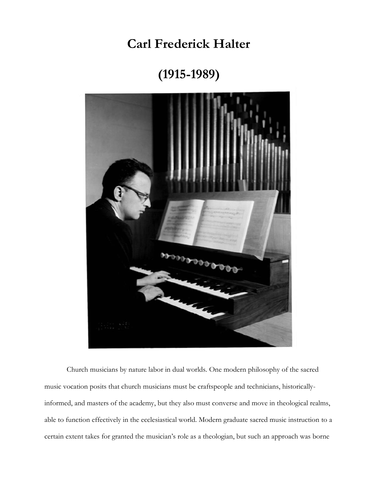**Carl Frederick Halter** 

**(1915-1989)**



Church musicians by nature labor in dual worlds. One modern philosophy of the sacred music vocation posits that church musicians must be craftspeople and technicians, historicallyinformed, and masters of the academy, but they also must converse and move in theological realms, able to function effectively in the ecclesiastical world. Modern graduate sacred music instruction to a certain extent takes for granted the musician's role as a theologian, but such an approach was borne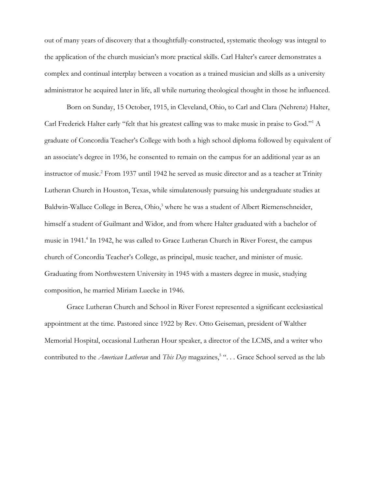out of many years of discovery that a thoughtfully-constructed, systematic theology was integral to the application of the church musician's more practical skills. Carl Halter's career demonstrates a complex and continual interplay between a vocation as a trained musician and skills as a university administrator he acquired later in life, all while nurturing theological thought in those he influenced.

Born on Sunday, 15 October, 1915, in Cleveland, Ohio, to Carl and Clara (Nehrenz) Halter, Carl Frederick Halter early "felt that his greatest calling was to make music in praise to God."<sup>1</sup> A graduate of Concordia Teacher's College with both a high school diploma followed by equivalent of an associate's degree in 1936, he consented to remain on the campus for an additional year as an instructor of music.<sup>2</sup> From 1937 until 1942 he served as music director and as a teacher at Trinity Lutheran Church in Houston, Texas, while simulatenously pursuing his undergraduate studies at Baldwin-Wallace College in Berea, Ohio,<sup>3</sup> where he was a student of Albert Riemenschneider, himself a student of Guilmant and Widor, and from where Halter graduated with a bachelor of music in 1941.<sup>4</sup> In 1942, he was called to Grace Lutheran Church in River Forest, the campus church of Concordia Teacher's College, as principal, music teacher, and minister of music. Graduating from Northwestern University in 1945 with a masters degree in music, studying composition, he married Miriam Luecke in 1946.

Grace Lutheran Church and School in River Forest represented a significant ecclesiastical appointment at the time. Pastored since 1922 by Rev. Otto Geiseman, president of Walther Memorial Hospital, occasional Lutheran Hour speaker, a director of the LCMS, and a writer who contributed to the *American Lutheran* and *This Day* magazines,<sup>5</sup> "... Grace School served as the lab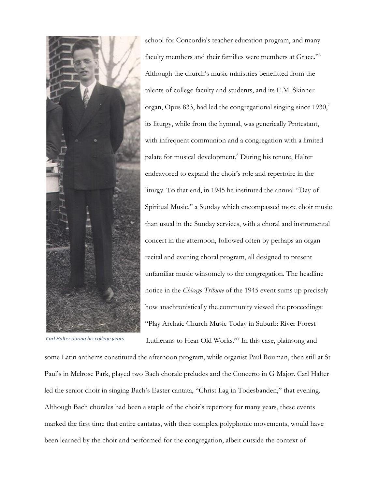

*Carl Halter during his college years.*

school for Concordia's teacher education program, and many faculty members and their families were members at Grace."<sup>6</sup> Although the church's music ministries benefitted from the talents of college faculty and students, and its E.M. Skinner organ, Opus 833, had led the congregational singing since  $1930$ , its liturgy, while from the hymnal, was generically Protestant, with infrequent communion and a congregation with a limited palate for musical development.<sup>8</sup> During his tenure, Halter endeavored to expand the choir's role and repertoire in the liturgy. To that end, in 1945 he instituted the annual "Day of Spiritual Music," a Sunday which encompassed more choir music than usual in the Sunday services, with a choral and instrumental concert in the afternoon, followed often by perhaps an organ recital and evening choral program, all designed to present unfamiliar music winsomely to the congregation. The headline notice in the *Chicago Tribune* of the 1945 event sums up precisely how anachronistically the community viewed the proceedings: "Play Archaic Church Music Today in Suburb: River Forest Lutherans to Hear Old Works."<sup>9</sup> In this case, plainsong and

some Latin anthems constituted the afternoon program, while organist Paul Bouman, then still at St Paul's in Melrose Park, played two Bach chorale preludes and the Concerto in G Major. Carl Halter led the senior choir in singing Bach's Easter cantata, "Christ Lag in Todesbanden," that evening. Although Bach chorales had been a staple of the choir's repertory for many years, these events marked the first time that entire cantatas, with their complex polyphonic movements, would have been learned by the choir and performed for the congregation, albeit outside the context of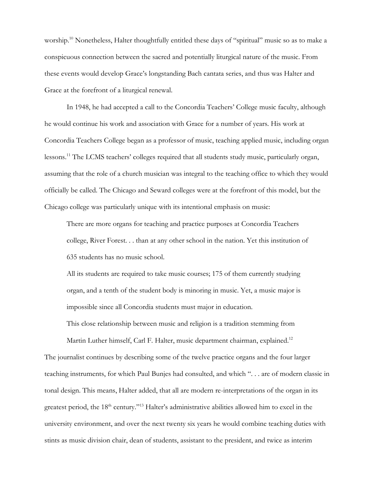worship.<sup>10</sup> Nonetheless, Halter thoughtfully entitled these days of "spiritual" music so as to make a conspicuous connection between the sacred and potentially liturgical nature of the music. From these events would develop Grace's longstanding Bach cantata series, and thus was Halter and Grace at the forefront of a liturgical renewal.

In 1948, he had accepted a call to the Concordia Teachers' College music faculty, although he would continue his work and association with Grace for a number of years. His work at Concordia Teachers College began as a professor of music, teaching applied music, including organ lessons.<sup>11</sup> The LCMS teachers' colleges required that all students study music, particularly organ, assuming that the role of a church musician was integral to the teaching office to which they would officially be called. The Chicago and Seward colleges were at the forefront of this model, but the Chicago college was particularly unique with its intentional emphasis on music:

There are more organs for teaching and practice purposes at Concordia Teachers college, River Forest. . . than at any other school in the nation. Yet this institution of 635 students has no music school.

All its students are required to take music courses; 175 of them currently studying organ, and a tenth of the student body is minoring in music. Yet, a music major is impossible since all Concordia students must major in education.

This close relationship between music and religion is a tradition stemming from

Martin Luther himself, Carl F. Halter, music department chairman, explained.<sup>12</sup> The journalist continues by describing some of the twelve practice organs and the four larger teaching instruments, for which Paul Bunjes had consulted, and which ". . . are of modern classic in tonal design. This means, Halter added, that all are modern re-interpretations of the organ in its greatest period, the 18<sup>th</sup> century."<sup>13</sup> Halter's administrative abilities allowed him to excel in the university environment, and over the next twenty six years he would combine teaching duties with stints as music division chair, dean of students, assistant to the president, and twice as interim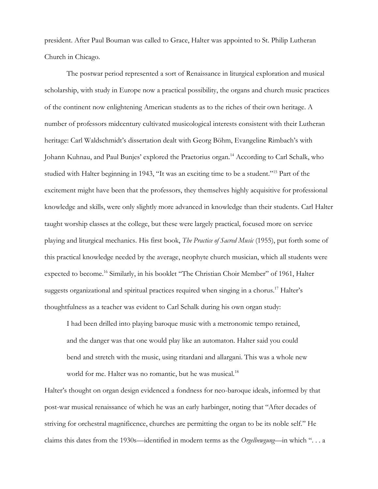president. After Paul Bouman was called to Grace, Halter was appointed to St. Philip Lutheran Church in Chicago.

The postwar period represented a sort of Renaissance in liturgical exploration and musical scholarship, with study in Europe now a practical possibility, the organs and church music practices of the continent now enlightening American students as to the riches of their own heritage. A number of professors midcentury cultivated musicological interests consistent with their Lutheran heritage: Carl Waldschmidt's dissertation dealt with Georg Böhm, Evangeline Rimbach's with Johann Kuhnau, and Paul Bunjes' explored the Praetorius organ.<sup>14</sup> According to Carl Schalk, who studied with Halter beginning in 1943, "It was an exciting time to be a student."<sup>15</sup> Part of the excitement might have been that the professors, they themselves highly acquisitive for professional knowledge and skills, were only slightly more advanced in knowledge than their students. Carl Halter taught worship classes at the college, but these were largely practical, focused more on service playing and liturgical mechanics. His first book, *The Practice of Sacred Music* (1955), put forth some of this practical knowledge needed by the average, neophyte church musician, which all students were expected to become.<sup>16</sup> Similarly, in his booklet "The Christian Choir Member" of 1961, Halter suggests organizational and spiritual practices required when singing in a chorus.<sup>17</sup> Halter's thoughtfulness as a teacher was evident to Carl Schalk during his own organ study:

I had been drilled into playing baroque music with a metronomic tempo retained, and the danger was that one would play like an automaton. Halter said you could bend and stretch with the music, using ritardani and allargani. This was a whole new world for me. Halter was no romantic, but he was musical.<sup>18</sup>

Halter's thought on organ design evidenced a fondness for neo-baroque ideals, informed by that post-war musical renaissance of which he was an early harbinger, noting that "After decades of striving for orchestral magnificence, churches are permitting the organ to be its noble self." He claims this dates from the 1930s—identified in modern terms as the *Orgelbewgung*—in which ". . . a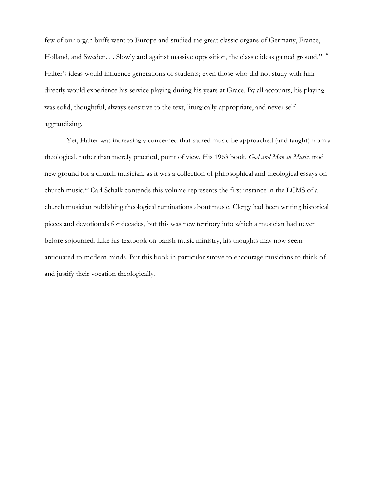few of our organ buffs went to Europe and studied the great classic organs of Germany, France, Holland, and Sweden. . . Slowly and against massive opposition, the classic ideas gained ground." <sup>19</sup> Halter's ideas would influence generations of students; even those who did not study with him directly would experience his service playing during his years at Grace. By all accounts, his playing was solid, thoughtful, always sensitive to the text, liturgically-appropriate, and never selfaggrandizing.

Yet, Halter was increasingly concerned that sacred music be approached (and taught) from a theological, rather than merely practical, point of view. His 1963 book, *God and Man in Music,* trod new ground for a church musician, as it was a collection of philosophical and theological essays on church music.<sup>20</sup> Carl Schalk contends this volume represents the first instance in the LCMS of a church musician publishing theological ruminations about music. Clergy had been writing historical pieces and devotionals for decades, but this was new territory into which a musician had never before sojourned. Like his textbook on parish music ministry, his thoughts may now seem antiquated to modern minds. But this book in particular strove to encourage musicians to think of and justify their vocation theologically.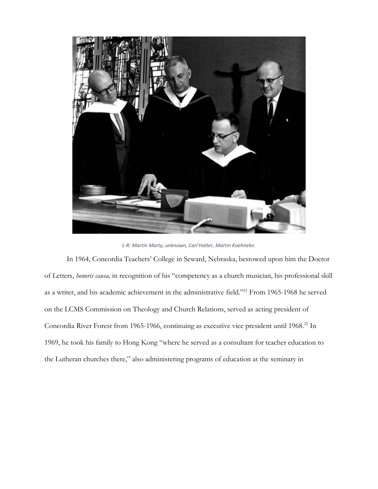

*L-R: Martin Marty, unknown, Carl Halter, Martin Koehneke.*

In 1964, Concordia Teachers' College in Seward, Nebraska, bestowed upon him the Doctor of Letters, *honoris causa,* in recognition of his "competency as a church musician, his professional skill as a writer, and his academic achievement in the administrative field."<sup>21</sup> From 1965-1968 he served on the LCMS Commission on Theology and Church Relations, served as acting president of Concordia River Forest from 1965-1966, continuing as executive vice president until 1968.<sup>22</sup> In 1969, he took his family to Hong Kong "where he served as a consultant for teacher education to the Lutheran churches there," also administering programs of education at the seminary in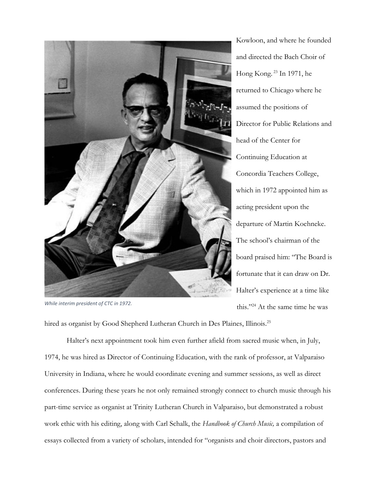

*While interim president of CTC in 1972.*

Kowloon, and where he founded and directed the Bach Choir of Hong Kong. <sup>23</sup> In 1971, he returned to Chicago where he assumed the positions of Director for Public Relations and head of the Center for Continuing Education at Concordia Teachers College, which in 1972 appointed him as acting president upon the departure of Martin Koehneke. The school's chairman of the board praised him: "The Board is fortunate that it can draw on Dr. Halter's experience at a time like this."<sup>24</sup> At the same time he was

hired as organist by Good Shepherd Lutheran Church in Des Plaines, Illinois.<sup>25</sup>

Halter's next appointment took him even further afield from sacred music when, in July, 1974, he was hired as Director of Continuing Education, with the rank of professor, at Valparaiso University in Indiana, where he would coordinate evening and summer sessions, as well as direct conferences. During these years he not only remained strongly connect to church music through his part-time service as organist at Trinity Lutheran Church in Valparaiso, but demonstrated a robust work ethic with his editing, along with Carl Schalk, the *Handbook of Church Music,* a compilation of essays collected from a variety of scholars, intended for "organists and choir directors, pastors and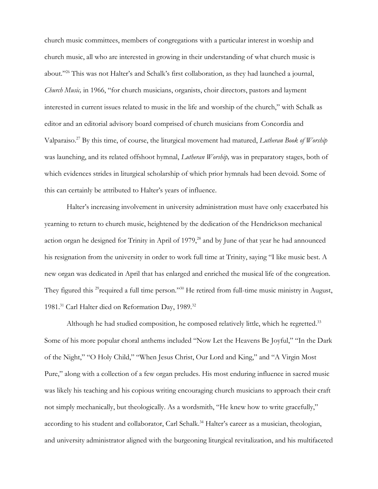church music committees, members of congregations with a particular interest in worship and church music, all who are interested in growing in their understanding of what church music is about."<sup>26</sup> This was not Halter's and Schalk's first collaboration, as they had launched a journal, *Church Music,* in 1966, "for church musicians, organists, choir directors, pastors and layment interested in current issues related to music in the life and worship of the church," with Schalk as editor and an editorial advisory board comprised of church musicians from Concordia and Valparaiso.<sup>27</sup> By this time, of course, the liturgical movement had matured, *Lutheran Book of Worship*  was launching, and its related offshoot hymnal, *Lutheran Worship,* was in preparatory stages, both of which evidences strides in liturgical scholarship of which prior hymnals had been devoid. Some of this can certainly be attributed to Halter's years of influence.

Halter's increasing involvement in university administration must have only exacerbated his yearning to return to church music, heightened by the dedication of the Hendrickson mechanical action organ he designed for Trinity in April of 1979,<sup>28</sup> and by June of that year he had announced his resignation from the university in order to work full time at Trinity, saying "I like music best. A new organ was dedicated in April that has enlarged and enriched the musical life of the congreation. They figured this <sup>29</sup>required a full time person."<sup>30</sup> He retired from full-time music ministry in August, 1981.<sup>31</sup> Carl Halter died on Reformation Day, 1989.<sup>32</sup>

Although he had studied composition, he composed relatively little, which he regretted.<sup>33</sup> Some of his more popular choral anthems included "Now Let the Heavens Be Joyful," "In the Dark of the Night," "O Holy Child," "When Jesus Christ, Our Lord and King," and "A Virgin Most Pure," along with a collection of a few organ preludes. His most enduring influence in sacred music was likely his teaching and his copious writing encouraging church musicians to approach their craft not simply mechanically, but theologically. As a wordsmith, "He knew how to write gracefully," according to his student and collaborator, Carl Schalk.<sup>34</sup> Halter's career as a musician, theologian, and university administrator aligned with the burgeoning liturgical revitalization, and his multifaceted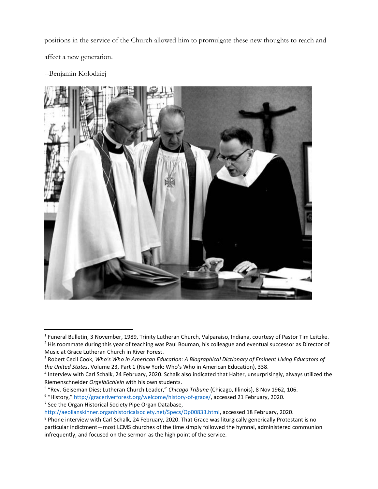positions in the service of the Church allowed him to promulgate these new thoughts to reach and affect a new generation.

--Benjamin Kolodziej



<sup>&</sup>lt;sup>1</sup> Funeral Bulletin, 3 November, 1989, Trinity Lutheran Church, Valparaiso, Indiana, courtesy of Pastor Tim Leitzke. <sup>2</sup> His roommate during this year of teaching was Paul Bouman, his colleague and eventual successor as Director of Music at Grace Lutheran Church in River Forest.

<sup>3</sup> Robert Cecil Cook, *Who's Who in American Education: A Biographical Dictionary of Eminent Living Educators of the United States*, Volume 23, Part 1 (New York: Who's Who in American Education), 338.

<sup>&</sup>lt;sup>4</sup> Interview with Carl Schalk, 24 February, 2020. Schalk also indicated that Halter, unsurprisingly, always utilized the Riemenschneider *Orgelbüchlein* with his own students.

<sup>5</sup> "Rev. Geiseman Dies; Lutheran Church Leader," *Chicago Tribune* (Chicago, Illinois), 8 Nov 1962, 106.

<sup>&</sup>lt;sup>6</sup> "History," [http://graceriverforest.org/welcome/history-of-grace/,](http://graceriverforest.org/welcome/history-of-grace/) accessed 21 February, 2020. <sup>7</sup> See the Organ Historical Society Pipe Organ Database,

[http://aeolianskinner.organhistoricalsociety.net/Specs/Op00833.html,](http://aeolianskinner.organhistoricalsociety.net/Specs/Op00833.html) accessed 18 February, 2020.

<sup>&</sup>lt;sup>8</sup> Phone interview with Carl Schalk, 24 February, 2020. That Grace was liturgically generically Protestant is no particular indictment—most LCMS churches of the time simply followed the hymnal, administered communion infrequently, and focused on the sermon as the high point of the service.